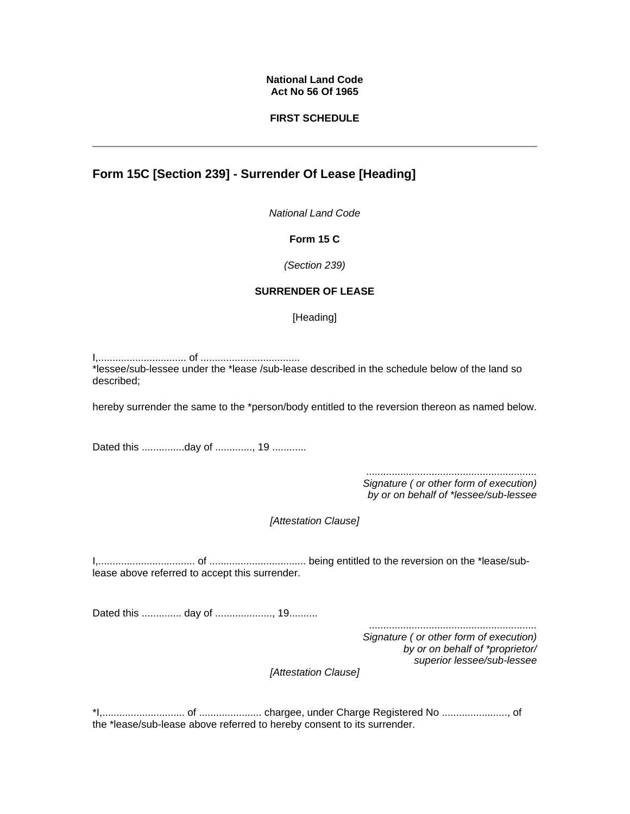### **National Land Code Act No 56 Of 1965**

## **FIRST SCHEDULE**

# **Form 15C [Section 239] - Surrender Of Lease [Heading]**

*National Land Code*

#### **Form 15 C**

*(Section 239)* 

## **SURRENDER OF LEASE**

[Heading]

I,............................... of ................................... \*lessee/sub-lessee under the \*lease /sub-lease described in the schedule below of the land so described;

hereby surrender the same to the \*person/body entitled to the reversion thereon as named below.

Dated this ................day of ............., 19 .............

*............................................................ Signature ( or other form of execution)* 

*by or on behalf of \*lessee/sub-lessee* 

*[Attestation Clause]* 

I,.................................. of .................................. being entitled to the reversion on the \*lease/sublease above referred to accept this surrender.

Dated this .............. day of ...................., 19..........

*........................................................... Signature ( or other form of execution) by or on behalf of \*proprietor/ superior lessee/sub-lessee* 

*[Attestation Clause]*

\*I,............................. of ...................... chargee, under Charge Registered No ......................., of the \*lease/sub-lease above referred to hereby consent to its surrender.